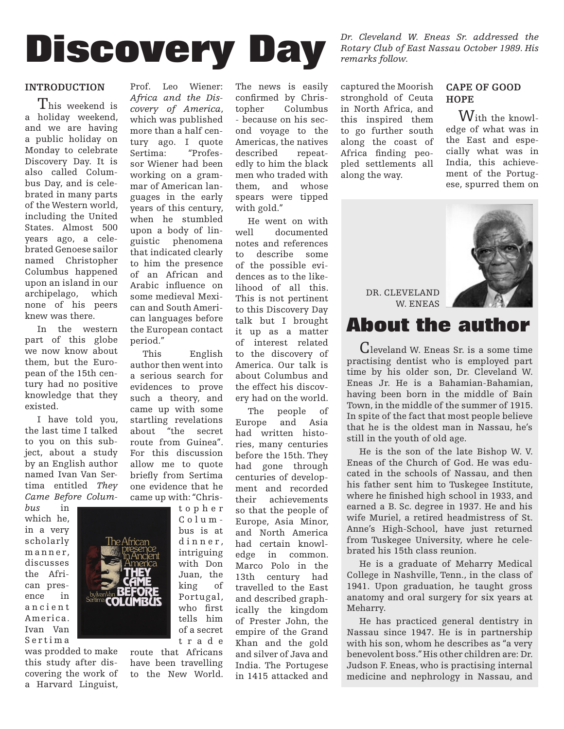

#### **INTRODUCTION**

This weekend is a holiday weekend, and we are having a public holiday on Monday to celebrate Discovery Day. It is also called Columbus Day, and is celebrated in many parts of the Western world, including the United States. Almost 500 years ago, a celebrated Genoese sailor named Christopher Columbus happened upon an island in our archipelago, which none of his peers knew was there.

In the western part of this globe we now know about them, but the European of the 15th century had no positive knowledge that they existed.

I have told you, the last time I talked to you on this subject, about a study by an English author named Ivan Van Sertima entitled *They Came Before Colum-*

*bus* in which he, in a very scholarly manner. discusses the African presence in a n c i e n t America. Ivan Van S e r t i m a

was prodded to make this study after discovering the work of a Harvard Linguist,



Prof. Leo Wiener: *Africa and the Discovery of America*, which was published more than a half century ago. I quote Sertima: "Professor Wiener had been working on a grammar of American languages in the early years of this century, when he stumbled upon a body of linguistic phenomena that indicated clearly to him the presence of an African and Arabic influence on some medieval Mexican and South American languages before the European contact period."

This English author then went into a serious search for evidences to prove such a theory, and came up with some startling revelations about "the secret route from Guinea". For this discussion allow me to quote briefly from Sertima one evidence that he came up with: "Chris-

> t o p h e r Colum bus is at dinner, intriguing with Don Juan, the king of Portugal, who first tells him of a secret t r a d e

route that Africans have been travelling to the New World. The news is easily confirmed by Christopher Columbus - because on his second voyage to the Americas, the natives described repeatedly to him the black men who traded with them, and whose spears were tipped with gold."

He went on with well documented notes and references to describe some of the possible evidences as to the likelihood of all this. This is not pertinent to this Discovery Day talk but I brought it up as a matter of interest related to the discovery of America. Our talk is about Columbus and the effect his discovery had on the world.

The people of Europe and Asia had written histories, many centuries before the 15th. They had gone through centuries of development and recorded their achievements so that the people of Europe, Asia Minor, and North America had certain knowledge in common. Marco Polo in the 13th century had travelled to the East and described graphically the kingdom of Prester John, the empire of the Grand Khan and the gold and silver of Java and India. The Portugese in 1415 attacked and

*Dr. Cleveland W. Eneas Sr. addressed the Rotary Club of East Nassau October 1989. His remarks follow.*

captured the Moorish stronghold of Ceuta in North Africa, and this inspired them to go further south along the coast of Africa finding peopled settlements all along the way.

#### **CAPE OF GOOD HOPE**

With the knowledge of what was in the East and especially what was in India, this achievement of the Portugese, spurred them on



DR. CLEVELAND W. ENEAS

# **About the author**

Cleveland W. Eneas Sr. is a some time practising dentist who is employed part time by his older son, Dr. Cleveland W. Eneas Jr. He is a Bahamian-Bahamian, having been born in the middle of Bain Town, in the middle of the summer of 1915. In spite of the fact that most people believe that he is the oldest man in Nassau, he's still in the youth of old age.

He is the son of the late Bishop W. V. Eneas of the Church of God. He was educated in the schools of Nassau, and then his father sent him to Tuskegee Institute, where he finished high school in 1933, and earned a B. Sc. degree in 1937. He and his wife Muriel, a retired headmistress of St. Anne's High-School, have just returned from Tuskegee University, where he celebrated his 15th class reunion.

He is a graduate of Meharry Medical College in Nashville, Tenn., in the class of 1941. Upon graduation, he taught gross anatomy and oral surgery for six years at Meharry.

He has practiced general dentistry in Nassau since 1947. He is in partnership with his son, whom he describes as "a very benevolent boss." His other children are: Dr. Judson F. Eneas, who is practising internal medicine and nephrology in Nassau, and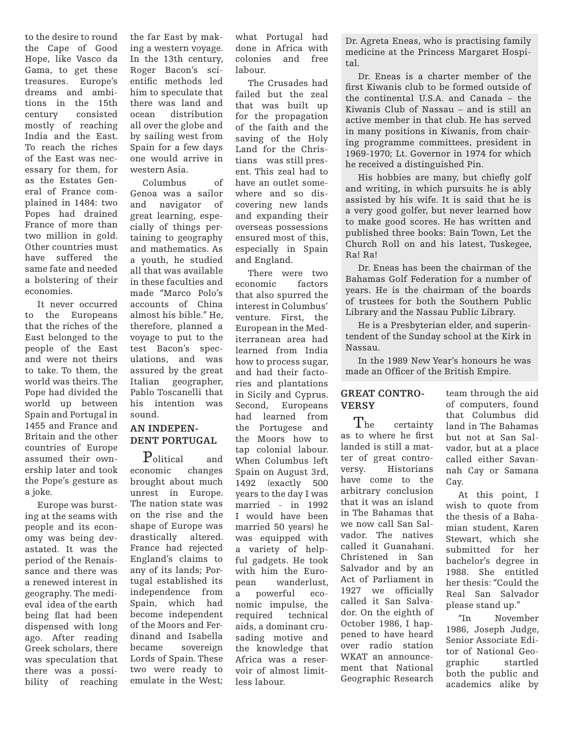to the desire to round the Cape of Good Hope, like Vasco da Gama, to get these treasures. Europe's dreams and ambitions in the 15th century consisted mostly of reaching India and the East. To reach the riches of the East was necessary for them, for as the Estates General of France complained in 1484: two Popes had drained France of more than two million in gold. Other countries must have suffered the same fate and needed a bolstering of their economies.

It never occurred to the Europeans that the riches of the East belonged to the people of the East and were not theirs to take. To them, the world was theirs. The Pope had divided the world up between Spain and Portugal in 1455 and France and Britain and the other countries of Europe assumed their ownership later and took the Pope's gesture as a joke.

Europe was bursting at the seams with people and its economy was being devastated. It was the period of the Renaissance and there was a renewed interest in geography. The medieval idea of the earth being flat had been dispensed with long ago. After reading Greek scholars, there was speculation that there was a possibility of reaching

the far East by making a western voyage. In the 13th century, Roger Bacon's scientific methods led him to speculate that there was land and ocean distribution all over the globe and by sailing west from Spain for a few days one would arrive in western Asia.

Columbus of Genoa was a sailor and navigator of great learning, especially of things pertaining to geography and mathematics. As a youth, he studied all that was available in these faculties and made "Marco Polo's accounts of China almost his bible." He, therefore, planned a voyage to put to the test Bacon's speculations, and was assured by the great Italian geographer, Pablo Toscanelli that his intention was sound.

# **AN INDEPEN-DENT PORTUGAL**

 $P_{\text{olistical}}$  and<br>phomic changes economic brought about much unrest in Europe. The nation state was on the rise and the shape of Europe was drastically altered. France had rejected England's claims to any of its lands; Portugal established its independence from Spain, which had become independent of the Moors and Ferdinand and Isabella<br>became sovereign sovereign Lords of Spain. These two were ready to emulate in the West;

what Portugal had done in Africa with colonies and free labour.

The Crusades had failed but the zeal that was built up for the propagation of the faith and the saving of the Holy Land for the Christians was still present. This zeal had to have an outlet somewhere and so discovering new lands and expanding their overseas possessions ensured most of this, especially in Spain and England.

There were two economic factors that also spurred the interest in Columbus' venture. First, the European in the Mediterranean area had learned from India how to process sugar, and had their factories and plantations in Sicily and Cyprus. Second, Europeans had learned from the Portugese and the Moors how to tap colonial labour. When Columbus left Spain on August 3rd, 1492 (exactly 500 years to the day I was married - in 1992 I would have been married 50 years) he was equipped with a variety of helpful gadgets. He took with him the European wanderlust, a powerful economic impulse, the required technical aids, a dominant crusading motive and the knowledge that Africa was a reservoir of almost limitless labour.

Dr. Agreta Eneas, who is practising family medicine at the Princess Margaret Hospital.

Dr. Eneas is a charter member of the first Kiwanis club to be formed outside of the continental U.S.A. and Canada – the Kiwanis Club of Nassau – and is still an active member in that club. He has served in many positions in Kiwanis, from chairing programme committees, president in 1969-1970; Lt. Governor in 1974 for which he received a distinguished Pin.

His hobbies are many, but chiefly golf and writing, in which pursuits he is ably assisted by his wife. It is said that he is a very good golfer, but never learned how to make good scores. He has written and published three books: Bain Town, Let the Church Roll on and his latest, Tuskegee, Ra! Ra!

Dr. Eneas has been the chairman of the Bahamas Golf Federation for a number of years. He is the chairman of the boards of trustees for both the Southern Public Library and the Nassau Public Library.

He is a Presbyterian elder, and superintendent of the Sunday school at the Kirk in Nassau.

In the 1989 New Year's honours he was made an Officer of the British Empire.

## **GREAT CONTRO-VERSY**

The certainty as to where he first landed is still a matter of great controversy. Historians have come to the arbitrary conclusion that it was an island in The Bahamas that we now call San Salvador. The natives called it Guanahani. Christened in San Salvador and by an Act of Parliament in 1927 we officially called it San Salvador. On the eighth of October 1986, I happened to have heard over radio station WKAT an announcement that National Geographic Research

team through the aid of computers, found that Columbus did land in The Bahamas but not at San Salvador, but at a place called either Savannah Cay or Samana Cay.

At this point, I wish to quote from the thesis of a Bahamian student, Karen Stewart, which she submitted for her bachelor's degree in 1988. She entitled her thesis: "Could the Real San Salvador please stand up."

"In November 1986, Joseph Judge, Senior Associate Editor of National Geographic startled both the public and academics alike by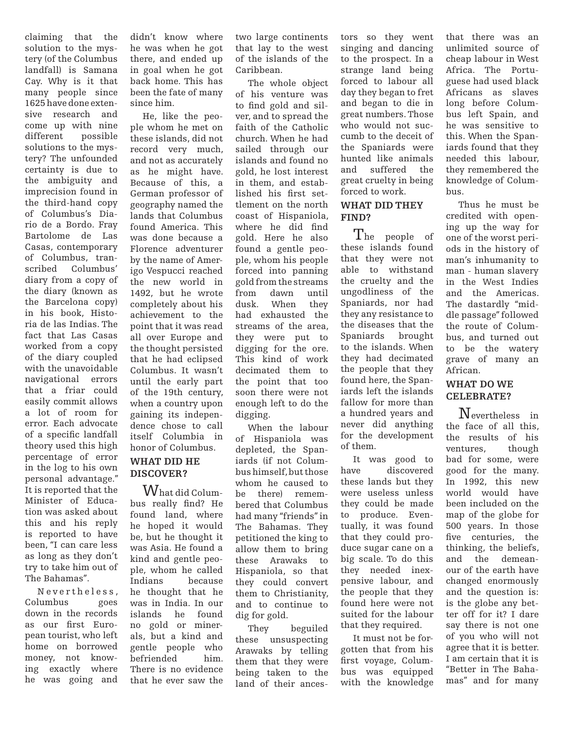claiming that the solution to the mystery (of the Columbus landfall) is Samana Cay. Why is it that many people since 1625 have done extensive research and come up with nine different possible solutions to the mystery? The unfounded certainty is due to the ambiguity and imprecision found in the third-hand copy of Columbus's Diario de a Bordo. Fray Bartolome de Las Casas, contemporary of Columbus, transcribed Columbus' diary from a copy of the diary (known as the Barcelona copy) in his book, Historia de las Indias. The fact that Las Casas worked from a copy of the diary coupled with the unavoidable navigational errors that a friar could easily commit allows a lot of room for error. Each advocate of a specific landfall theory used this high percentage of error in the log to his own personal advantage." It is reported that the Minister of Education was asked about this and his reply is reported to have been, "I can care less as long as they don't try to take him out of The Bahamas".

N evertheless, Columbus goes down in the records as our first European tourist, who left home on borrowed money, not knowing exactly where he was going and

didn't know where he was when he got there, and ended up in goal when he got back home. This has been the fate of many since him.

He, like the people whom he met on these islands, did not record very much, and not as accurately as he might have. Because of this, a German professor of geography named the lands that Columbus found America. This was done because a Florence adventurer by the name of Amerigo Vespucci reached the new world in 1492, but he wrote completely about his achievement to the point that it was read all over Europe and the thought persisted that he had eclipsed Columbus. It wasn't until the early part of the 19th century, when a country upon gaining its independence chose to call itself Columbia in honor of Columbus.

### **WHAT DID HE DISCOVER?**

 $\operatorname{W}_{\text{hat}}$  did Columbus really find? He found land, where he hoped it would be, but he thought it was Asia. He found a kind and gentle people, whom he called Indians because he thought that he was in India. In our islands he found no gold or minerals, but a kind and gentle people who befriended him. There is no evidence that he ever saw the two large continents that lay to the west of the islands of the Caribbean.

The whole object of his venture was to find gold and silver, and to spread the faith of the Catholic church. When he had sailed through our islands and found no gold, he lost interest in them, and established his first settlement on the north coast of Hispaniola, where he did find gold. Here he also found a gentle people, whom his people forced into panning gold from the streams from dawn until dusk. When they had exhausted the streams of the area, they were put to digging for the ore. This kind of work decimated them to the point that too soon there were not enough left to do the digging.

When the labour of Hispaniola was depleted, the Spaniards (if not Columbus himself, but those whom he caused to be there) remembered that Columbus had many "friends" in The Bahamas. They petitioned the king to allow them to bring these Arawaks to Hispaniola, so that they could convert them to Christianity, and to continue to dig for gold.

They beguiled these unsuspecting Arawaks by telling them that they were being taken to the land of their ancestors so they went singing and dancing to the prospect. In a strange land being forced to labour all day they began to fret and began to die in great numbers. Those who would not succumb to the deceit of the Spaniards were hunted like animals and suffered the great cruelty in being forced to work.

## **WHAT DID THEY FIND?**

The people of these islands found that they were not able to withstand the cruelty and the ungodliness of the Spaniards, nor had they any resistance to the diseases that the Spaniards brought to the islands. When they had decimated the people that they found here, the Spaniards left the islands fallow for more than a hundred years and never did anything for the development of them.

It was good to have discovered these lands but they were useless unless they could be made to produce. Eventually, it was found that they could produce sugar cane on a big scale. To do this they needed inexpensive labour, and the people that they found here were not suited for the labour that they required.

It must not be forgotten that from his first voyage, Columbus was equipped with the knowledge that there was an unlimited source of cheap labour in West Africa. The Portuguese had used black Africans as slaves long before Columbus left Spain, and he was sensitive to this. When the Spaniards found that they needed this labour, they remembered the knowledge of Columbus.

Thus he must be credited with opening up the way for one of the worst periods in the history of man's inhumanity to man - human slavery in the West Indies and the Americas. The dastardly "middle passage" followed the route of Columbus, and turned out to be the watery grave of many an African.

# **WHAT DO WE CELEBRATE?**

Nevertheless in the face of all this, the results of his ventures, though bad for some, were good for the many. In 1992, this new world would have been included on the map of the globe for 500 years. In those five centuries, the thinking, the beliefs, and the demeanour of the earth have changed enormously and the question is: is the globe any better off for it? I dare say there is not one of you who will not agree that it is better. I am certain that it is "Better in The Bahamas" and for many